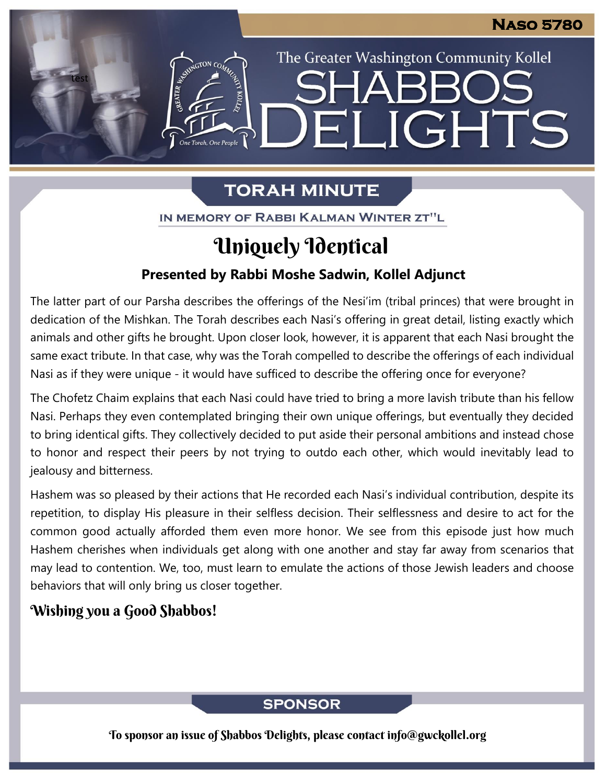The Greater Washington Community Kollel

ELIGHTS

# **TORAH MINUTE**

IN MEMORY OF RABBI KALMAN WINTER ZT"L

# Uniquely Identical

## **Presented by Rabbi Moshe Sadwin, Kollel Adjunct**

The latter part of our Parsha describes the offerings of the Nesi'im (tribal princes) that were brought in dedication of the Mishkan. The Torah describes each Nasi's offering in great detail, listing exactly which animals and other gifts he brought. Upon closer look, however, it is apparent that each Nasi brought the same exact tribute. In that case, why was the Torah compelled to describe the offerings of each individual Nasi as if they were unique - it would have sufficed to describe the offering once for everyone? **From our archives**

The Chofetz Chaim explains that each Nasi could have tried to bring a more lavish tribute than his fellow Nasi. Perhaps they even contemplated bringing their own unique offerings, but eventually they decided to bring identical gifts. They collectively decided to put aside their personal ambitions and instead chose to honor and respect their peers by not trying to outdo each other, which would inevitably lead to jealousy and bitterness.

Hashem was so pleased by their actions that He recorded each Nasi's individual contribution, despite its repetition, to display His pleasure in their selfless decision. Their selflessness and desire to act for the common good actually afforded them even more honor. We see from this episode just how much Hashem cherishes when individuals get along with one another and stay far away from scenarios that may lead to contention. We, too, must learn to emulate the actions of those Jewish leaders and choose behaviors that will only bring us closer together.

# Wishing you a Good Shabbos!

test

## **SPONSOR**

To sponsor an issue of Shabbos Delights, please contact info@gwckollel.org